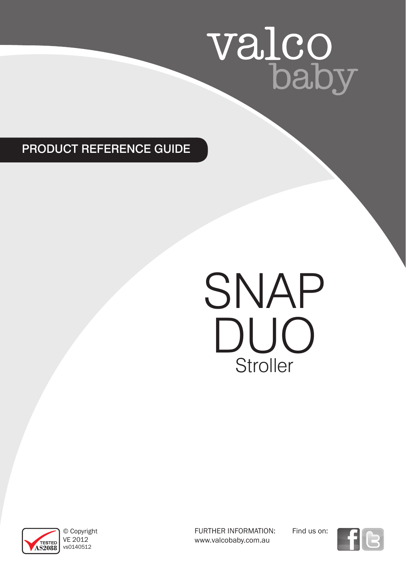# valco<br>baby

# PRODUCT REFERENCE GUIDE

# SNAP DUO **Stroller**



© Copyright VE 2012 vs0140512

FURTHER INFORMATION: www.valcobaby.com.au

Find us on:

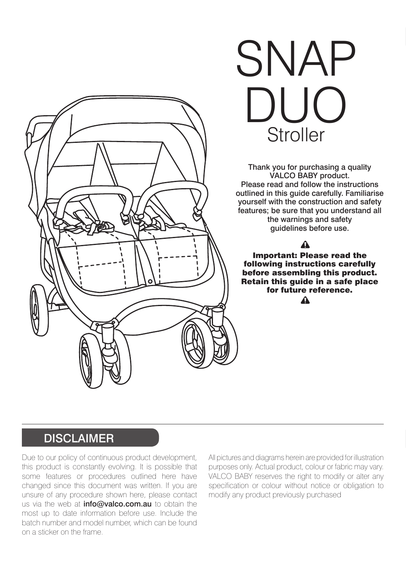

# SNAP DUO<br><sup>Christ</sup> **Stroller**

Thank you for purchasing a quality VALCO BABY product. Please read and follow the instructions outlined in this guide carefully. Familiarise yourself with the construction and safety features; be sure that you understand all the warnings and safety guidelines before use.

#### Λ

Important: Please read the following instructions carefully before assembling this product. Retain this guide in a safe place for future reference.  $\Lambda$ 

### **DISCLAIMER**

Due to our policy of continuous product development, this product is constantly evolving. It is possible that some features or procedures outlined here have changed since this document was written. If you are unsure of any procedure shown here, please contact us via the web at *info@valco.com.au* to obtain the most up to date information before use. Include the batch number and model number, which can be found on a sticker on the frame.

All pictures and diagrams herein are provided for illustration purposes only. Actual product, colour or fabric may vary. VALCO BABY reserves the right to modify or alter any specification or colour without notice or obligation to modify any product previously purchased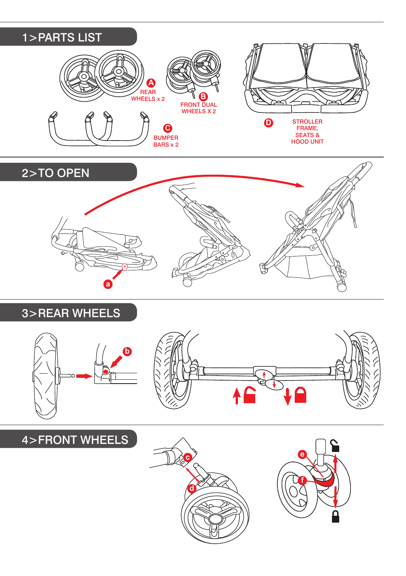



### 3>REAR WHEELS





## 4>FRONT WHEELS

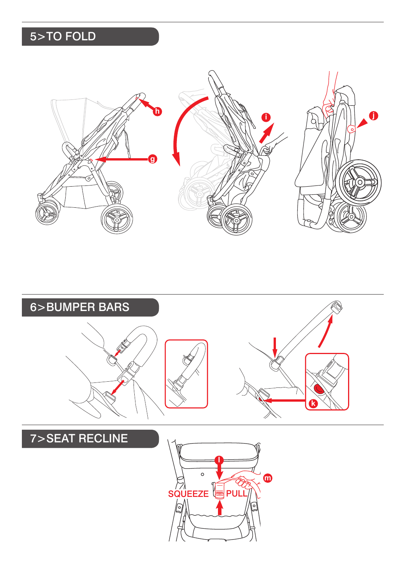# 5>TO FOLD



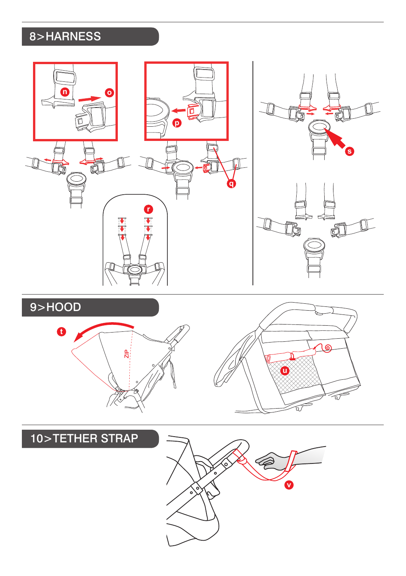# 8>HARNESS

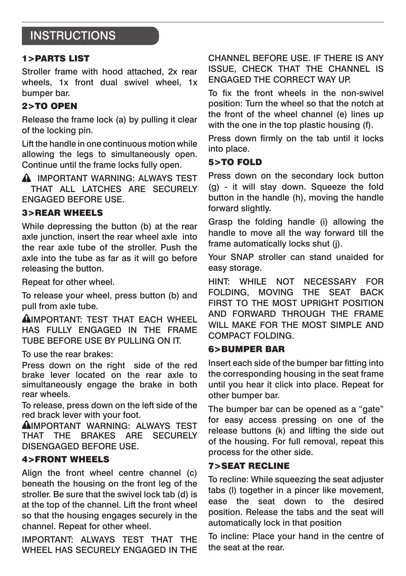## **INSTRUCTIONS**

#### 1>PARTS LIST

Stroller frame with hood attached, 2x rear wheels, 1x front dual swivel wheel, 1x bumper bar.

#### 2>TO OPEN

Release the frame lock (a) by pulling it clear of the locking pin.

Lift the handle in one continuous motion while allowing the legs to simultaneously open. Continue until the frame locks fully open.

**A IMPORTANT WARNING: ALWAYS TEST** THAT ALL LATCHES ARE SECURELY ENGAGED BEFORE USE.

#### 3>REAR WHEELS

While depressing the button (b) at the rear axle junction, insert the rear wheel axle into the rear axle tube of the stroller. Push the axle into the tube as far as it will go before releasing the button.

Repeat for other wheel.

To release your wheel, press button (b) and pull from axle tube.

AIMPORTANT: TEST THAT FACH WHEEL has FULLY engaged in the frame tube before use by pulling on it.

To use the rear brakes:

Press down on the right side of the red brake lever located on the rear axle to simultaneously engage the brake in both rear wheels.

To release, press down on the left side of the red brack lever with your foot.

AIMPORTANT WARNING: ALWAYS TEST THAT THE BRAKES ARE SECURELY DISENGAGED BEFORE USE.

#### 4>FRONT WHEELS

Align the front wheel centre channel (c) beneath the housing on the front leg of the stroller. Be sure that the swivel lock tab (d) is at the top of the channel. Lift the front wheel so that the housing engages securely in the channel. Repeat for other wheel.

IMPORTANT: ALWAYS TEST THAT THE WHEEL HAS SECURELY ENGAGED IN THE CHANNEL BEFORE USE. IF THERE IS ANY ISSUE, CHECK THAT THE CHANNEL IS ENGAGED THE CORRECT WAY UP.

To fix the front wheels in the non-swivel position: Turn the wheel so that the notch at the front of the wheel channel (e) lines up with the one in the top plastic housing (f).

Press down firmly on the tab until it locks into place.

#### 5>TO FOLD

Press down on the secondary lock button (g) - it will stay down. Squeeze the fold button in the handle (h), moving the handle forward slightly.

Grasp the folding handle (i) allowing the handle to move all the way forward till the frame automatically locks shut (j).

Your SNAP stroller can stand unaided for easy storage.

HINT: WHILE NOT NECESSARY FOR FOLDING, MOVING THE SEAT BACK FIRST TO THE MOST UPRIGHT POSITION AND FORWARD THROUGH THE FRAME WILL MAKE FOR THE MOST SIMPLE AND COMPACT FOLDING.

#### 6>BUMPER BAR

Insert each side of the bumper bar fitting into the corresponding housing in the seat frame until you hear it click into place. Repeat for other bumper bar.

The bumper bar can be opened as a "gate" for easy access pressing on one of the release buttons (k) and lifting the side out of the housing. For full removal, repeat this process for the other side.

#### 7>SEAT RECLINE

To recline: While squeezing the seat adjuster tabs (l) together in a pincer like movement, ease the seat down to the desired position. Release the tabs and the seat will automatically lock in that position

To incline: Place your hand in the centre of the seat at the rear.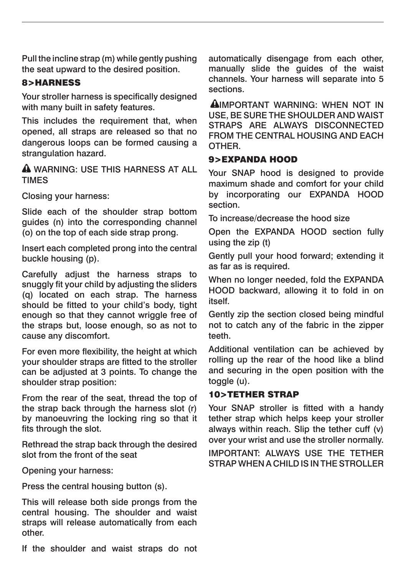Pull the incline strap (m) while gently pushing the seat upward to the desired position.

#### 8>HARNESS

Your stroller harness is specifically designed with many built in safety features.

This includes the requirement that, when opened, all straps are released so that no dangerous loops can be formed causing a strangulation hazard.

 WARNING: USE THIS HARNESS AT ALL TIMES

Closing your harness:

Slide each of the shoulder strap bottom guides (n) into the corresponding channel (o) on the top of each side strap prong.

Insert each completed prong into the central buckle housing (p).

Carefully adjust the harness straps to snuggly fit your child by adjusting the sliders (q) located on each strap. The harness should be fitted to your child's body, tight enough so that they cannot wriggle free of the straps but, loose enough, so as not to cause any discomfort.

For even more flexibility, the height at which your shoulder straps are fitted to the stroller can be adjusted at 3 points. To change the shoulder strap position:

From the rear of the seat, thread the top of the strap back through the harness slot (r) by manoeuvring the locking ring so that it fits through the slot.

Rethread the strap back through the desired slot from the front of the seat

Opening your harness:

Press the central housing button (s).

This will release both side prongs from the central housing. The shoulder and waist straps will release automatically from each other.

If the shoulder and waist straps do not

automatically disengage from each other, manually slide the guides of the waist channels. Your harness will separate into 5 sections.

IMPORTANT WARNING: WHEN NOT IN USE, BE SURE THE SHOULDER AND WAIST STRAPS ARE ALWAYS DISCONNECTED FROM THE CENTRAL HOUSING AND EACH OTHER.

#### 9>EXPANDA HOOD

Your SNAP hood is designed to provide maximum shade and comfort for your child by incorporating our EXPANDA HOOD section.

To increase/decrease the hood size

Open the EXPANDA HOOD section fully using the zip (t)

Gently pull your hood forward; extending it as far as is required.

When no longer needed, fold the EXPANDA HOOD backward, allowing it to fold in on itself.

Gently zip the section closed being mindful not to catch any of the fabric in the zipper teeth.

Additional ventilation can be achieved by rolling up the rear of the hood like a blind and securing in the open position with the toggle (u).

#### 10>TETHER STRAP

Your SNAP stroller is fitted with a handy tether strap which helps keep your stroller always within reach. Slip the tether cuff (v) over your wrist and use the stroller normally.

IMPORTANT: ALWAYS USE THE TETHER STRAP WHEN A CHILD IS IN THE STROLLER